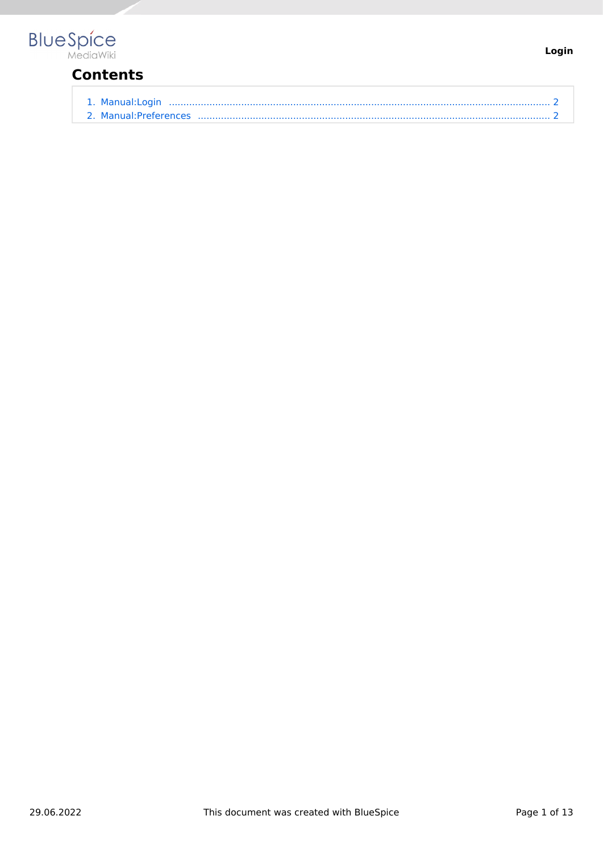

## **Contents**

| 1. Manual:Login       |  |
|-----------------------|--|
| 2. Manual:Preferences |  |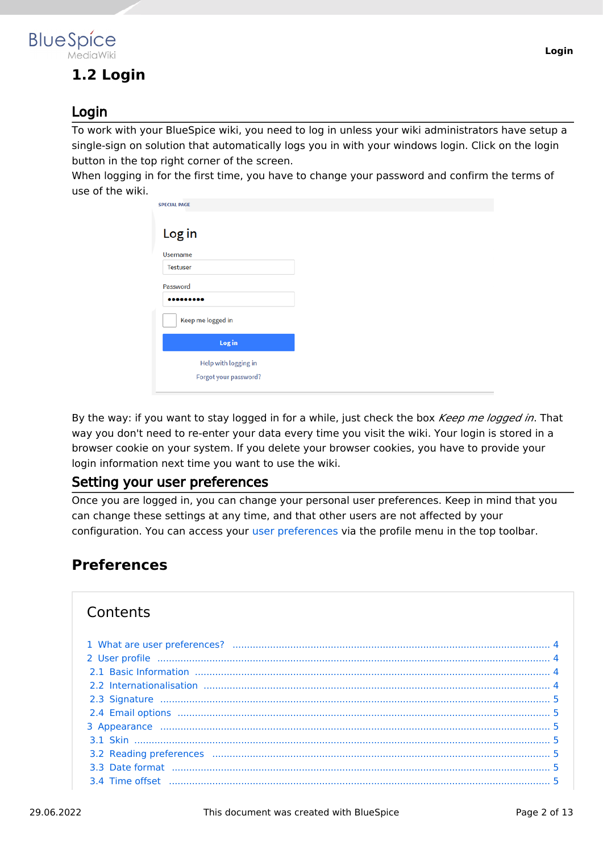## <span id="page-1-0"></span>**1.2 Login**

#### Login

To work with your BlueSpice wiki, you need to log in unless your wiki administrators have setup a single-sign on solution that automatically logs you in with your windows login. Click on the login button in the top right corner of the screen.

When logging in for the first time, you have to change your password and confirm the terms of use of the wiki.

| <b>SPECIAL PAGE</b>   |  |
|-----------------------|--|
| Log in                |  |
| <b>Username</b>       |  |
| <b>Testuser</b>       |  |
| Password              |  |
|                       |  |
| Keep me logged in     |  |
| Log in                |  |
| Help with logging in  |  |
| Forgot your password? |  |
|                       |  |

By the way: if you want to stay logged in for a while, just check the box *Keep me logged in*. That way you don't need to re-enter your data every time you visit the wiki. Your login is stored in a browser cookie on your system. If you delete your browser cookies, you have to provide your login information next time you want to use the wiki.

#### Setting your user preferences

Once you are logged in, you can change your personal user preferences. Keep in mind that you can change these settings at any time, and that other users are not affected by your configuration. You can access your [user preferences](#page-1-1) via the profile menu in the top toolbar.

## <span id="page-1-1"></span>**Preferences**

## **Contents**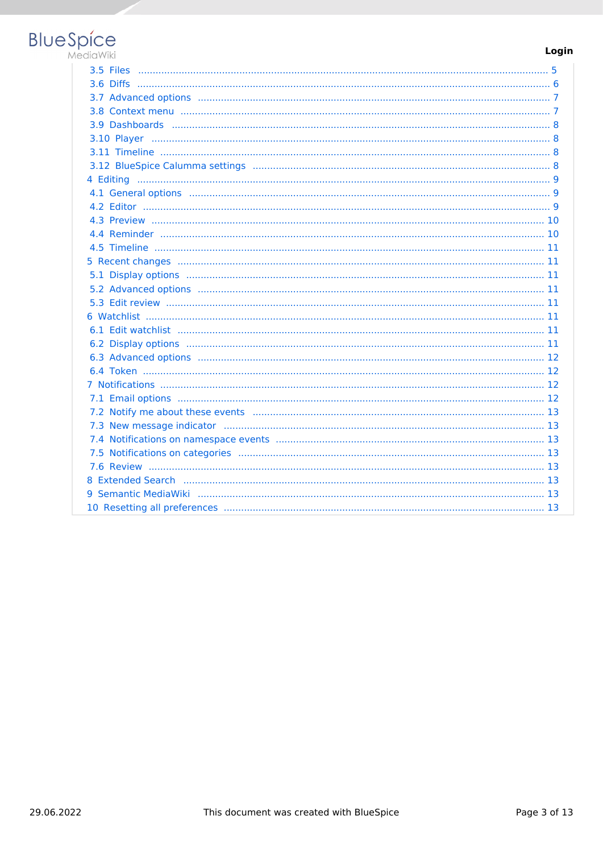# **BlueSpice**

#### Login

| 8 Extended Search (and all and all and all and all and all and all and all and all and all and all and all and $13$ |
|---------------------------------------------------------------------------------------------------------------------|
|                                                                                                                     |
|                                                                                                                     |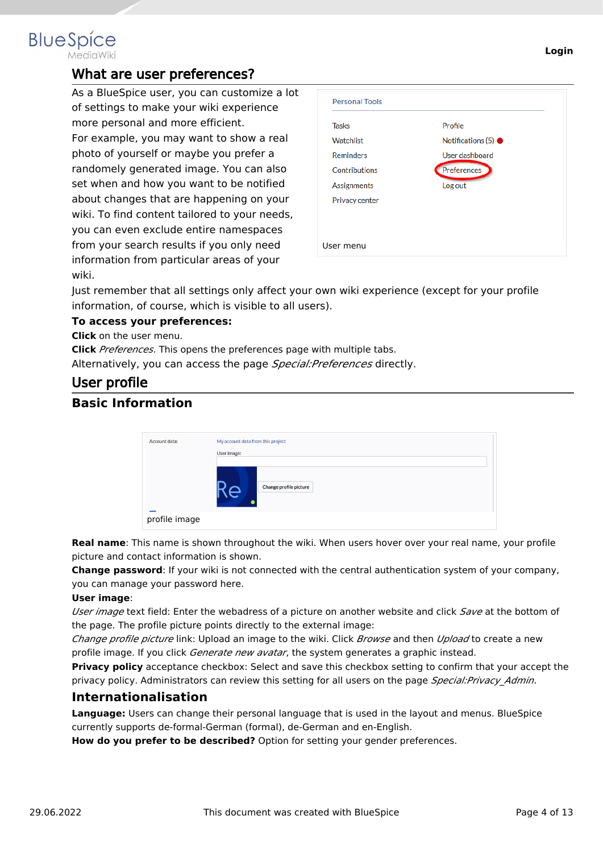<span id="page-3-0"></span>

### What are user preferences?

As a BlueSpice user, you can customize a lot of settings to make your wiki experience more personal and more efficient. For example, you may want to show a real photo of yourself or maybe you prefer a randomely generated image. You can also set when and how you want to be notified about changes that are happening on your wiki. To find content tailored to your needs, you can even exclude entire namespaces from your search results if you only need information from particular areas of your wiki.

| <b>Watchlist</b><br><b>Reminders</b><br>User dashboard<br>Preferences<br>Contributions<br>Log out<br><b>Assignments</b> | <b>Tasks</b> | Profile                       |
|-------------------------------------------------------------------------------------------------------------------------|--------------|-------------------------------|
|                                                                                                                         |              | Notifications $(5)$ $\bullet$ |
|                                                                                                                         |              |                               |
|                                                                                                                         |              |                               |
|                                                                                                                         |              |                               |
| Privacy center                                                                                                          |              |                               |

Just remember that all settings only affect your own wiki experience (except for your profile information, of course, which is visible to all users).

#### **To access your preferences:**

**Click** on the user menu.

**Click** *Preferences*. This opens the preferences page with multiple tabs.

Alternatively, you can access the page *Special:Preferences* directly.

#### <span id="page-3-1"></span>User profile

#### <span id="page-3-2"></span>**Basic Information**

| Account data: | My account data from this project |  |  |
|---------------|-----------------------------------|--|--|
|               | User image:                       |  |  |
|               | Change profile picture<br>7G      |  |  |
| profile image |                                   |  |  |

**Real name**: This name is shown throughout the wiki. When users hover over your real name, your profile picture and contact information is shown.

**Change password**: If your wiki is not connected with the central authentication system of your company, you can manage your password here.

#### **User image**:

*User image* text field: Enter the webadress of a picture on another website and click *Save* at the bottom of the page. The profile picture points directly to the external image:

*Change profile picture* link: Upload an image to the wiki. Click *Browse* and then *Upload* to create a new profile image. If you click *Generate new avatar*, the system generates a graphic instead.

**Privacy policy** acceptance checkbox: Select and save this checkbox setting to confirm that your accept the privacy policy. Administrators can review this setting for all users on the page *Special:Privacy\_Admin*.

#### <span id="page-3-3"></span>**Internationalisation**

**Language:** Users can change their personal language that is used in the layout and menus. BlueSpice currently supports de-formal-German (formal), de-German and en-English.

How do you prefer to be described? Option for setting your gender preferences.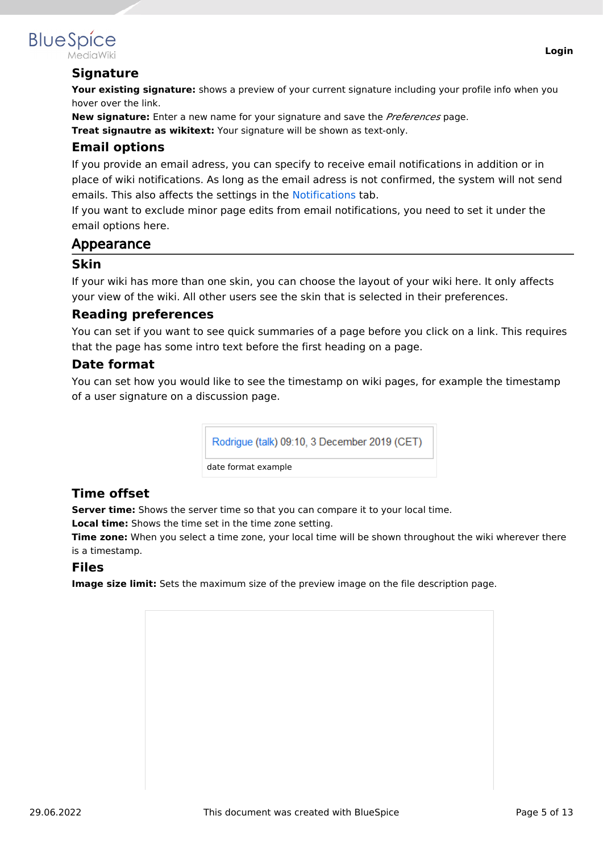

## <span id="page-4-0"></span>**BlueSpice**

#### **Signature**

Your existing signature: shows a preview of your current signature including your profile info when you hover over the link.

**New signature:** Enter a new name for your signature and save the *Preferences* page.

<span id="page-4-1"></span>**Treat signautre as wikitext:** Your signature will be shown as text-only.

#### **Email options**

If you provide an email adress, you can specify to receive email notifications in addition or in place of wiki notifications. As long as the email adress is not confirmed, the system will not send emails. This also affects the settings in the [Notifications](#page-11-2) tab.

If you want to exclude minor page edits from email notifications, you need to set it under the email options here.

#### <span id="page-4-2"></span>Appearance

#### <span id="page-4-3"></span>**Skin**

If your wiki has more than one skin, you can choose the layout of your wiki here. It only affects your view of the wiki. All other users see the skin that is selected in their preferences.

#### <span id="page-4-4"></span>**Reading preferences**

You can set if you want to see quick summaries of a page before you click on a link. This requires that the page has some intro text before the first heading on a page.

#### <span id="page-4-5"></span>**Date format**

You can set how you would like to see the timestamp on wiki pages, for example the timestamp of a user signature on a discussion page.



#### <span id="page-4-6"></span>**Time offset**

**Server time:** Shows the server time so that you can compare it to your local time.

**Local time:** Shows the time set in the time zone setting.

**Time zone:** When you select a time zone, your local time will be shown throughout the wiki wherever there is a timestamp.

#### <span id="page-4-7"></span>**Files**

**Image size limit:** Sets the maximum size of the preview image on the file description page.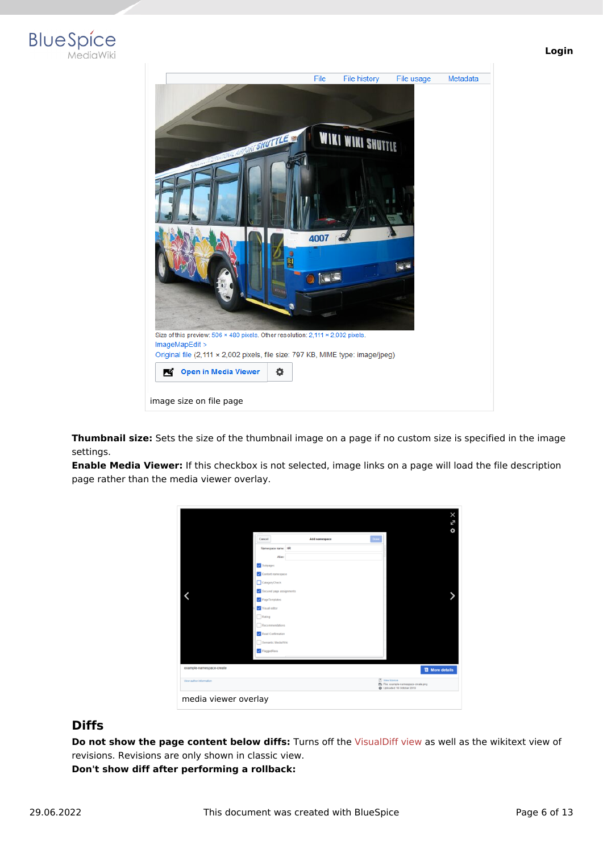



**Thumbnail size:** Sets the size of the thumbnail image on a page if no custom size is specified in the image settings.

**Enable Media Viewer:** If this checkbox is not selected, image links on a page will load the file description page rather than the media viewer overlay.



#### <span id="page-5-0"></span>**Diffs**

**Do not show the page content below diffs:** Turns off the [VisualDiff view](https://en.wiki.bluespice.com/w/index.php?title=Manual:Extension/BlueSpiceVisualDiff&action=view) as well as the wikitext view of revisions. Revisions are only shown in classic view.

**Don't show diff after performing a rollback:**

#### **Login**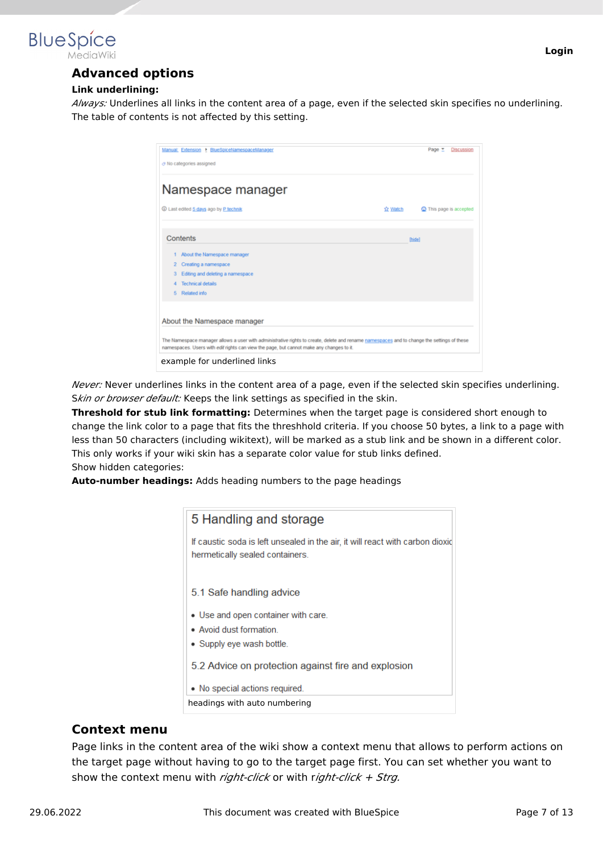<span id="page-6-0"></span>

#### **Link underlining:**

*Always:* Underlines all links in the content area of a page, even if the selected skin specifies no underlining. The table of contents is not affected by this setting.

| Namespace manager                                                                                                                                                                                                                      |                  |                                |
|----------------------------------------------------------------------------------------------------------------------------------------------------------------------------------------------------------------------------------------|------------------|--------------------------------|
| 1 Last edited 5 days ago by P technik                                                                                                                                                                                                  | <b>Trk</b> Watch | <b>Q</b> This page is accepted |
| Contents                                                                                                                                                                                                                               |                  | <b>Thidel</b>                  |
| About the Namespace manager                                                                                                                                                                                                            |                  |                                |
| Creating a namespace<br>2                                                                                                                                                                                                              |                  |                                |
| Editing and deleting a namespace<br>з                                                                                                                                                                                                  |                  |                                |
| <b>Technical details</b>                                                                                                                                                                                                               |                  |                                |
| Related info<br>5.                                                                                                                                                                                                                     |                  |                                |
| About the Namespace manager                                                                                                                                                                                                            |                  |                                |
| The Namespace manager allows a user with administrative rights to create, delete and rename namespaces and to change the settings of these<br>namespaces. Users with edif rights can view the page, but cannot make any changes to it. |                  |                                |

*Never:* Never underlines links in the content area of a page, even if the selected skin specifies underlining. Skin or browser default: Keeps the link settings as specified in the skin.

**Threshold for stub link formatting:** Determines when the target page is considered short enough to change the link color to a page that fits the threshhold criteria. If you choose 50 bytes, a link to a page with less than 50 characters (including wikitext), will be marked as a stub link and be shown in a different color. This only works if your wiki skin has a separate color value for stub links defined. Show hidden categories:

**Auto-number headings:** Adds heading numbers to the page headings

| If caustic soda is left unsealed in the air, it will react with carbon dioxid<br>hermetically sealed containers.<br>5.1 Safe handling advice<br>• Use and open container with care.<br>• Avoid dust formation<br>• Supply eye wash bottle.<br>5.2 Advice on protection against fire and explosion | 5 Handling and storage |
|---------------------------------------------------------------------------------------------------------------------------------------------------------------------------------------------------------------------------------------------------------------------------------------------------|------------------------|
|                                                                                                                                                                                                                                                                                                   |                        |
|                                                                                                                                                                                                                                                                                                   |                        |
|                                                                                                                                                                                                                                                                                                   |                        |
|                                                                                                                                                                                                                                                                                                   |                        |
|                                                                                                                                                                                                                                                                                                   |                        |
|                                                                                                                                                                                                                                                                                                   |                        |
| • No special actions required.                                                                                                                                                                                                                                                                    |                        |
| headings with auto numbering                                                                                                                                                                                                                                                                      |                        |

#### <span id="page-6-1"></span>**Context menu**

Page links in the content area of the wiki show a context menu that allows to perform actions on the target page without having to go to the target page first. You can set whether you want to show the context menu with *right-click* or with r*ight-click + Strg.*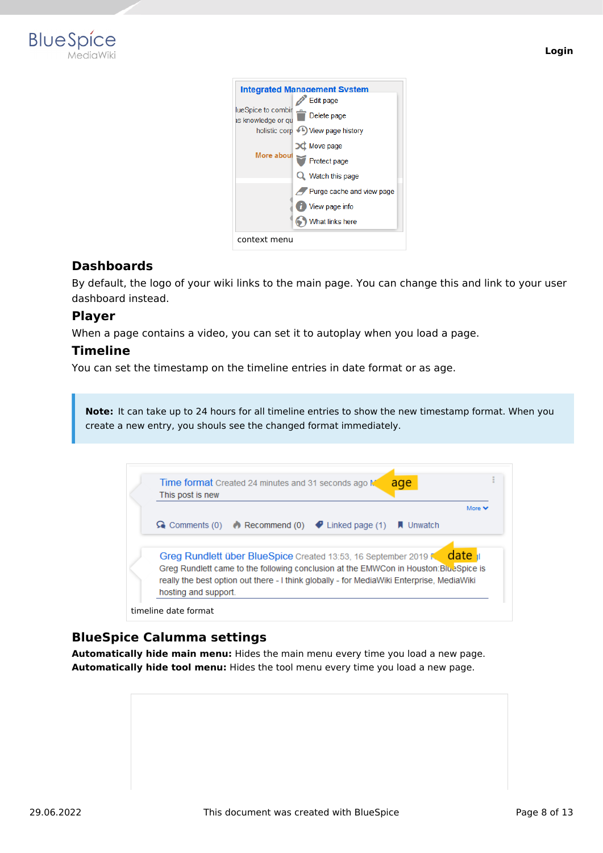

|                                          | <b>Integrated Management System</b> |
|------------------------------------------|-------------------------------------|
|                                          | <b>Edit page</b>                    |
| lueSpice to combir<br>is knowledge or gu | Delete page                         |
| holistic corp                            | ←L) View page history               |
|                                          | Move page                           |
| More about                               | Protect page                        |
|                                          | Q Watch this page                   |
|                                          | Purge cache and view page           |
|                                          | View page info                      |
|                                          | What links here                     |
| context menu                             |                                     |

#### <span id="page-7-0"></span>**Dashboards**

By default, the logo of your wiki links to the main page. You can change this and link to your user dashboard instead.

#### <span id="page-7-1"></span>**Player**

When a page contains a video, you can set it to autoplay when you load a page.

#### <span id="page-7-2"></span>**Timeline**

You can set the timestamp on the timeline entries in date format or as age.

**Note:** It can take up to 24 hours for all timeline entries to show the new timestamp format. When you create a new entry, you shouls see the changed format immediately.



#### <span id="page-7-3"></span>**BlueSpice Calumma settings**

**Automatically hide main menu:** Hides the main menu every time you load a new page. **Automatically hide tool menu:** Hides the tool menu every time you load a new page.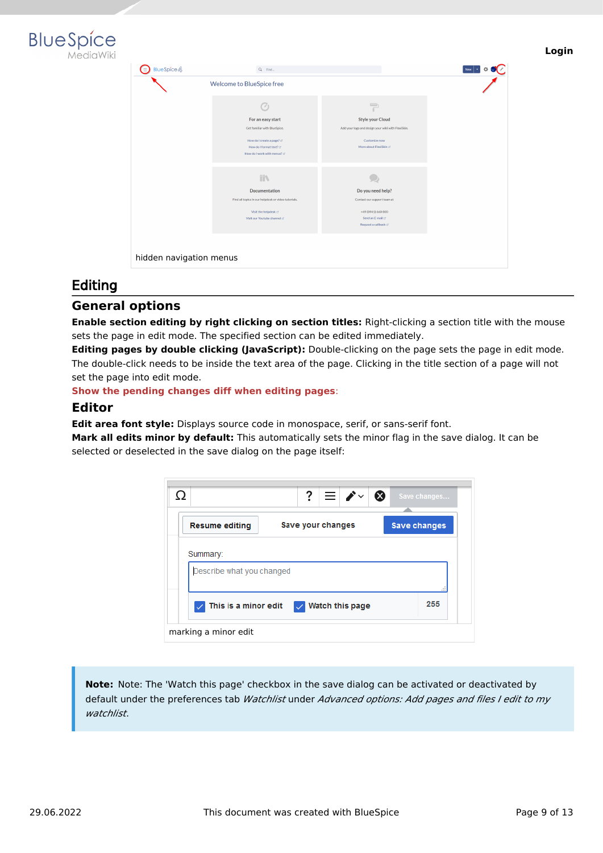

| $\Rightarrow$ BlueSpice 4 | $Q$ Find                                                                              |                                                                                    |
|---------------------------|---------------------------------------------------------------------------------------|------------------------------------------------------------------------------------|
|                           | Welcome to BlueSpice free                                                             |                                                                                    |
|                           | ` d<br>For an easy start<br>Get familiar with BlueSpice.                              | 루<br><b>Style your Cloud</b><br>Add your logo and design your wild with FlexiSkin. |
|                           | How do I create a page? cf<br>How do I format text? @<br>How do I work with menus? cf | Customize now<br>More about FlexiSkin of                                           |
|                           | m                                                                                     |                                                                                    |
|                           | <b>Documentation</b><br>Find all topics in our helpdesk or video tutorials.           | Do you need help?<br>Contact our support team at                                   |
|                           | Visit the helpdesk of<br>Visit our Youtube channel of                                 | +49 (0941) 660 800<br>Send an E-mail of<br>Request a callback of                   |
|                           |                                                                                       |                                                                                    |

#### <span id="page-8-0"></span>Editing

#### <span id="page-8-1"></span>**General options**

**Enable section editing by right clicking on section titles:** Right-clicking a section title with the mouse sets the page in edit mode. The specified section can be edited immediately.

**Editing pages by double clicking (JavaScript):** Double-clicking on the page sets the page in edit mode. The double-click needs to be inside the text area of the page. Clicking in the title section of a page will not set the page into edit mode.

**Show the pending changes diff when editing pages**:

#### <span id="page-8-2"></span>**Editor**

**Edit area font style:** Displays source code in monospace, serif, or sans-serif font.

**Mark all edits minor by default:** This automatically sets the minor flag in the save dialog. It can be selected or deselected in the save dialog on the page itself:

|                           | $? \equiv \rightarrow$ | $\infty$<br>Save changes |
|---------------------------|------------------------|--------------------------|
| <b>Resume editing</b>     | Save your changes      | <b>Save changes</b>      |
| Summary:                  |                        |                          |
| Describe what you changed |                        |                          |
| This is a minor edit      | Watch this page        | 255                      |
| marking a minor edit      |                        |                          |

**Note:** Note: The 'Watch this page' checkbox in the save dialog can be activated or deactivated by default under the preferences tab *Watchlist* under *Advanced options: Add pages and files I edit to my watchlist*.

**Login**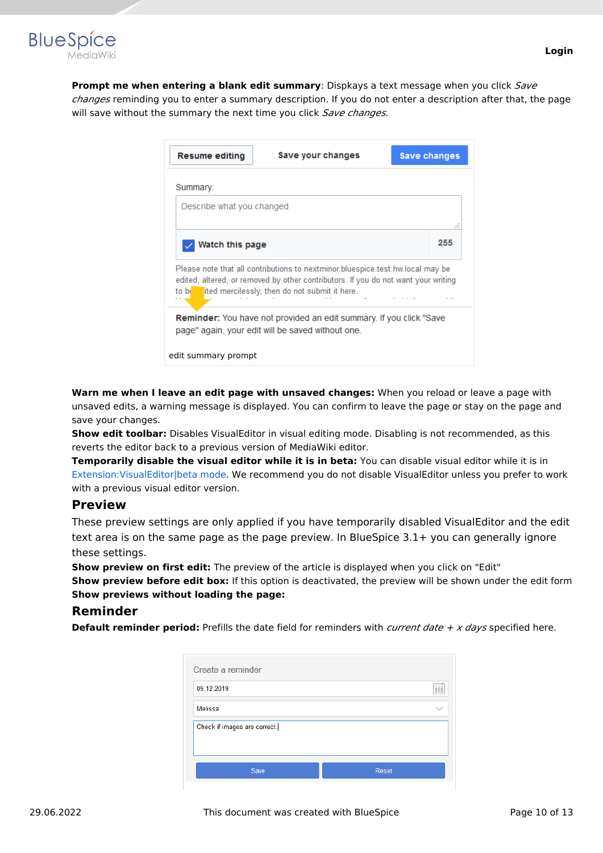

**Prompt me when entering a blank edit summary**: Dispkays a text message when you click *Save changes* reminding you to enter a summary description. If you do not enter a description after that, the page will save without the summary the next time you click *Save changes.*

| <b>Resume editing</b>     | Save your changes                                                                                                                                                                                                     | Save changes |
|---------------------------|-----------------------------------------------------------------------------------------------------------------------------------------------------------------------------------------------------------------------|--------------|
| Summary:                  |                                                                                                                                                                                                                       |              |
| Describe what you changed |                                                                                                                                                                                                                       |              |
| Watch this page           |                                                                                                                                                                                                                       | ---<br>255   |
| to be                     | Please note that all contributions to nextminor bluespice test hw local may be<br>edited, altered, or removed by other contributors. If you do not want your writing<br>ited mercilessly, then do not submit it here. |              |
|                           | <b>Reminder:</b> You have not provided an edit summary. If you click "Save<br>page" again, your edit will be saved without one.                                                                                       |              |
| edit summary prompt       |                                                                                                                                                                                                                       |              |

**Warn me when I leave an edit page with unsaved changes:** When you reload or leave a page with unsaved edits, a warning message is displayed. You can confirm to leave the page or stay on the page and save your changes.

**Show edit toolbar:** Disables VisualEditor in visual editing mode. Disabling is not recommended, as this reverts the editor back to a previous version of MediaWiki editor.

**Temporarily disable the visual editor while it is in beta:** You can disable visual editor while it is in [Extension:VisualEditor|beta mode](https://www.mediawiki.org/wiki/Page_title). We recommend you do not disable VisualEditor unless you prefer to work with a previous visual editor version.

#### <span id="page-9-0"></span>**Preview**

These preview settings are only applied if you have temporarily disabled VisualEditor and the edit text area is on the same page as the page preview. In BlueSpice 3.1+ you can generally ignore these settings.

**Show preview on first edit:** The preview of the article is displayed when you click on "Edit" **Show preview before edit box:** If this option is deactivated, the preview will be shown under the edit form **Show previews without loading the page:**

#### <span id="page-9-1"></span>**Reminder**

**Default reminder period:** Prefills the date field for reminders with *current date + x days* specified here.

| Create a reminder            |       |  |
|------------------------------|-------|--|
| 09.12.2019                   | 888   |  |
| Melissa                      |       |  |
| Check if images are correct. |       |  |
| Save                         | Reset |  |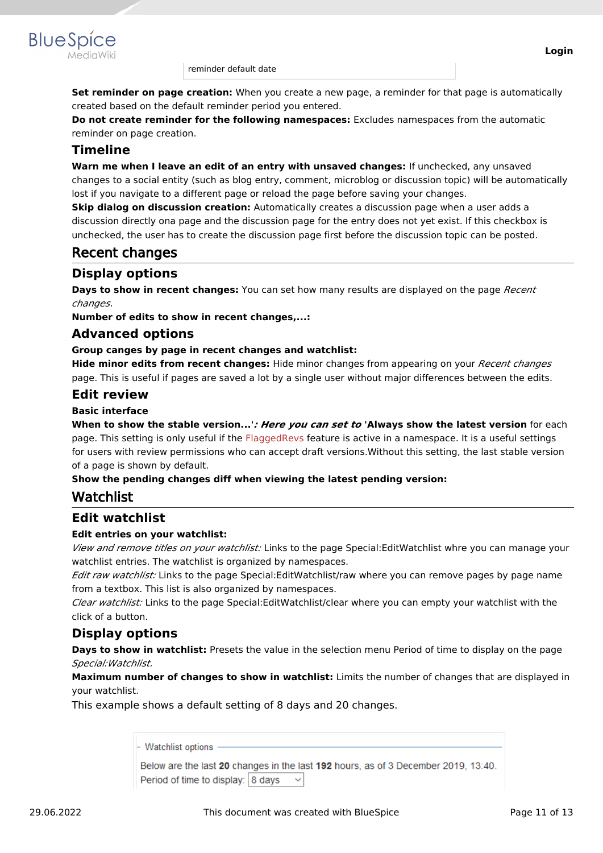

**BlueSpice** 

**Set reminder on page creation:** When you create a new page, a reminder for that page is automatically created based on the default reminder period you entered.

**Do not create reminder for the following namespaces:** Excludes namespaces from the automatic reminder on page creation.

#### <span id="page-10-0"></span>**Timeline**

**Warn me when I leave an edit of an entry with unsaved changes:** If unchecked, any unsaved changes to a social entity (such as blog entry, comment, microblog or discussion topic) will be automatically lost if you navigate to a different page or reload the page before saving your changes.

**Skip dialog on discussion creation:** Automatically creates a discussion page when a user adds a discussion directly ona page and the discussion page for the entry does not yet exist. If this checkbox is unchecked, the user has to create the discussion page first before the discussion topic can be posted.

## <span id="page-10-1"></span>Recent changes

#### <span id="page-10-2"></span>**Display options**

**Days to show in recent changes:** You can set how many results are displayed on the page *Recent changes*.

**Number of edits to show in recent changes,...:**

#### <span id="page-10-3"></span>**Advanced options**

#### **Group canges by page in recent changes and watchlist:**

**Hide minor edits from recent changes:** Hide minor changes from appearing on your *Recent changes* page. This is useful if pages are saved a lot by a single user without major differences between the edits.

#### <span id="page-10-4"></span>**Edit review**

#### **Basic interface**

**When to show the stable version...'***: Here you can set to* **'Always show the latest version** for each page. This setting is only useful if the [FlaggedRevs](https://en.wiki.bluespice.com/w/index.php?title=Manual:Flagged_Revisions&action=view) feature is active in a namespace. It is a useful settings for users with review permissions who can accept draft versions.Without this setting, the last stable version of a page is shown by default.

#### **Show the pending changes diff when viewing the latest pending version:**

#### <span id="page-10-5"></span>Watchlist

#### <span id="page-10-6"></span>**Edit watchlist**

#### **Edit entries on your watchlist:**

*View and remove titles on your watchlist:* Links to the page Special:EditWatchlist whre you can manage your watchlist entries. The watchlist is organized by namespaces.

*Edit raw watchlist:* Links to the page Special:EditWatchlist/raw where you can remove pages by page name from a textbox. This list is also organized by namespaces.

*Clear watchlist:* Links to the page Special:EditWatchlist/clear where you can empty your watchlist with the click of a button.

#### <span id="page-10-7"></span>**Display options**

**Days to show in watchlist:** Presets the value in the selection menu Period of time to display on the page *Special:Watchlist.*

**Maximum number of changes to show in watchlist:** Limits the number of changes that are displayed in your watchlist.

This example shows a default setting of 8 days and 20 changes.

| - Watchlist options                                                                |
|------------------------------------------------------------------------------------|
|                                                                                    |
| Below are the last 20 changes in the last 192 hours, as of 3 December 2019, 13:40. |
| Period of time to display: 8 days                                                  |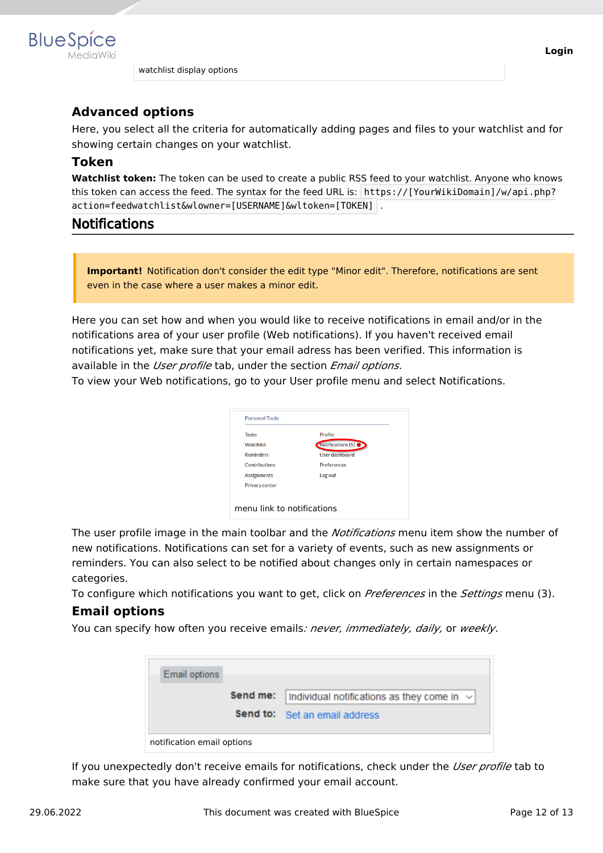

watchlist display options

#### <span id="page-11-0"></span>**Advanced options**

Here, you select all the criteria for automatically adding pages and files to your watchlist and for showing certain changes on your watchlist.

#### <span id="page-11-1"></span>**Token**

**Watchlist token:** The token can be used to create a public RSS feed to your watchlist. Anyone who knows this token can access the feed. The syntax for the feed URL is: https://[YourWikiDomain]/w/api.php? action=feedwatchlist&wlowner=[USERNAME]&wltoken=[TOKEN] .

#### <span id="page-11-2"></span>Notifications

**Important!** Notification don't consider the edit type "Minor edit". Therefore, notifications are sent even in the case where a user makes a minor edit.

Here you can set how and when you would like to receive notifications in email and/or in the notifications area of your user profile (Web notifications). If you haven't received email notifications yet, make sure that your email adress has been verified. This information is available in the *User profile* tab, under the section *Email options*.

To view your Web notifications, go to your User profile menu and select Notifications.



The user profile image in the main toolbar and the *Notifications* menu item show the number of new notifications. Notifications can set for a variety of events, such as new assignments or reminders. You can also select to be notified about changes only in certain namespaces or categories.

To configure which notifications you want to get, click on *Preferences* in the *Settings* menu (3).

#### <span id="page-11-3"></span>**Email options**

You can specify how often you receive emails*: never, immediately, daily,* or *weekly*.

| <b>Email options</b>       |                                                                   |  |
|----------------------------|-------------------------------------------------------------------|--|
|                            | <b>Send me:</b>   Individual notifications as they come in $\vee$ |  |
|                            | <b>Send to:</b> Set an email address                              |  |
| notification email options |                                                                   |  |

If you unexpectedly don't receive emails for notifications, check under the *User profile* tab to make sure that you have already confirmed your email account.